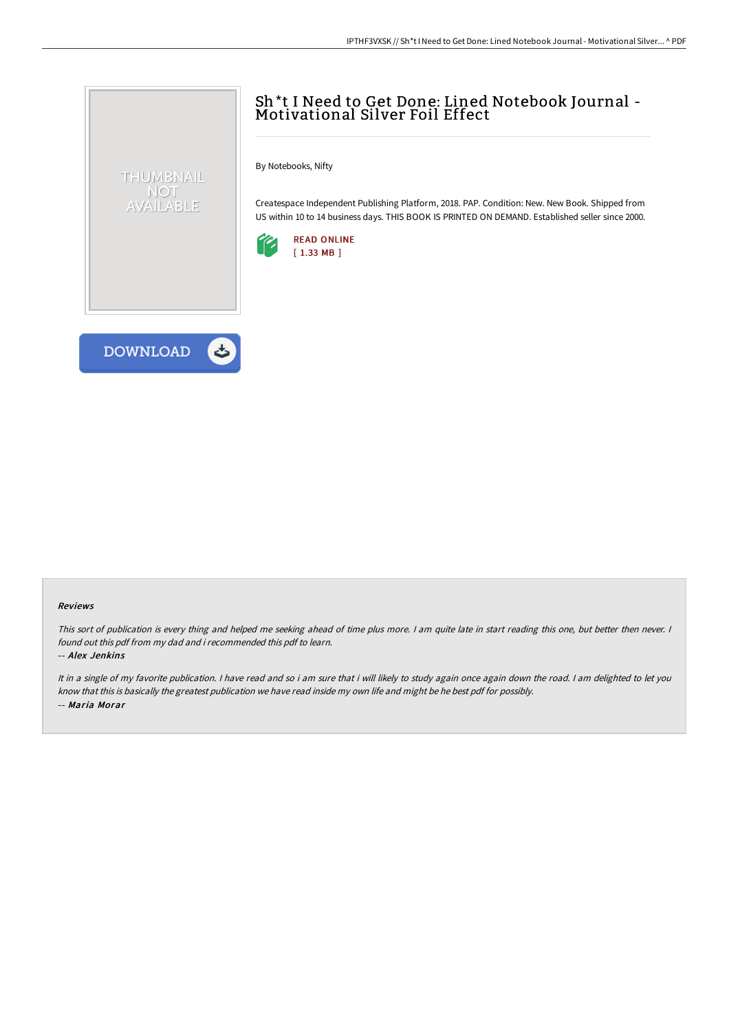## Sh\*t <sup>I</sup> Need to Get Done: Lined Notebook Journal - Motivational Silver Foil Effect

By Notebooks, Nifty

Createspace Independent Publishing Platform, 2018. PAP. Condition: New. New Book. Shipped from US within 10 to 14 business days. THIS BOOK IS PRINTED ON DEMAND. Established seller since 2000.





THUMBNAIL NOT AVAILABLE

## Reviews

This sort of publication is every thing and helped me seeking ahead of time plus more. <sup>I</sup> am quite late in start reading this one, but better then never. <sup>I</sup> found out this pdf from my dad and i recommended this pdf to learn.

-- Alex Jenkins

It in a single of my favorite publication. I have read and so i am sure that i will likely to study again once again down the road. I am delighted to let you know that this is basically the greatest publication we have read inside my own life and might be he best pdf for possibly. -- Maria Morar